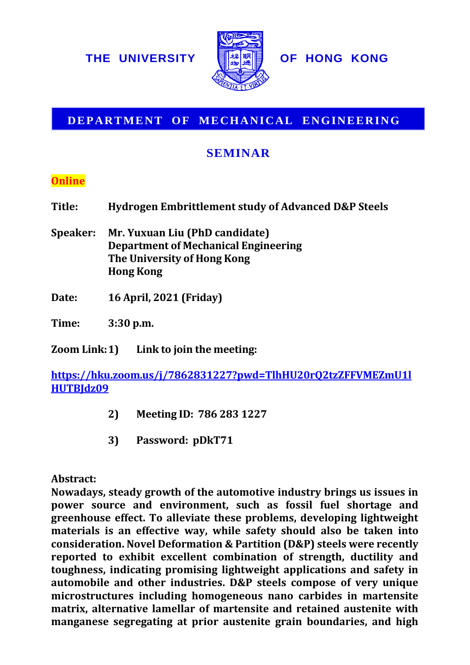

## **DEPARTMENT OF MECHANICAL ENGINEERING**

# **SEMINAR**

## **Online**

- **Title: Hydrogen Embrittlement study of Advanced D&P Steels**
- **Speaker: Mr. Yuxuan Liu (PhD candidate) Department of Mechanical Engineering The University of Hong Kong Hong Kong**
- **Date: 16 April, 2021 (Friday)**

**Time: 3:30 p.m.**

**Zoom Link:1) Link to join the meeting:**

**[https://hku.zoom.us/j/7862831227?pwd=TlhHU20rQ2tzZFFVMEZmU1l](https://hku.zoom.us/j/7862831227?pwd=TlhHU20rQ2tzZFFVMEZmU1lHUTBJdz09) [HUTBJdz09](https://hku.zoom.us/j/7862831227?pwd=TlhHU20rQ2tzZFFVMEZmU1lHUTBJdz09)**

- **2) Meeting ID: 786 283 1227**
- **3) Password: pDkT71**

#### **Abstract:**

**Nowadays, steady growth of the automotive industry brings us issues in power source and environment, such as fossil fuel shortage and greenhouse effect. To alleviate these problems, developing lightweight materials is an effective way, while safety should also be taken into consideration. Novel Deformation & Partition (D&P) steels were recently reported to exhibit excellent combination of strength, ductility and toughness, indicating promising lightweight applications and safety in automobile and other industries. D&P steels compose of very unique microstructures including homogeneous nano carbides in martensite matrix, alternative lamellar of martensite and retained austenite with manufacture set of the set of the set of the set of the set of the set of the set of the set of the set of the set of the set of the prior and high and the set of the prior and high** *L* **and the set of the boundaries of th**